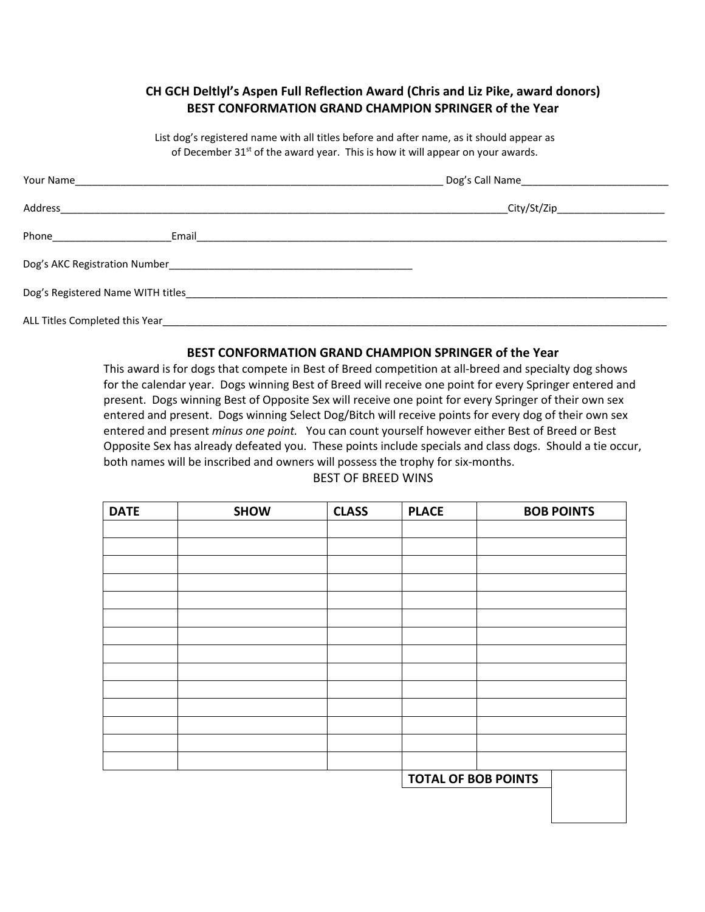### **CH GCH Deltlyl's Aspen Full Reflection Award (Chris and Liz Pike, award donors) BEST CONFORMATION GRAND CHAMPION SPRINGER of the Year**

List dog's registered name with all titles before and after name, as it should appear as of December 31<sup>st</sup> of the award year. This is how it will appear on your awards.

| Address                         | City/St/Zip_____________________ |  |
|---------------------------------|----------------------------------|--|
| Email                           |                                  |  |
|                                 |                                  |  |
|                                 |                                  |  |
| ALL Titles Completed this Year_ |                                  |  |

#### **BEST CONFORMATION GRAND CHAMPION SPRINGER of the Year**

This award is for dogs that compete in Best of Breed competition at all-breed and specialty dog shows for the calendar year. Dogs winning Best of Breed will receive one point for every Springer entered and present. Dogs winning Best of Opposite Sex will receive one point for every Springer of their own sex entered and present. Dogs winning Select Dog/Bitch will receive points for every dog of their own sex entered and present *minus one point.* You can count yourself however either Best of Breed or Best Opposite Sex has already defeated you. These points include specials and class dogs. Should a tie occur, both names will be inscribed and owners will possess the trophy for six-months.

#### BEST OF BREED WINS

| <b>DATE</b> | <b>SHOW</b> | <b>CLASS</b> | <b>PLACE</b>               | <b>BOB POINTS</b> |
|-------------|-------------|--------------|----------------------------|-------------------|
|             |             |              |                            |                   |
|             |             |              |                            |                   |
|             |             |              |                            |                   |
|             |             |              |                            |                   |
|             |             |              |                            |                   |
|             |             |              |                            |                   |
|             |             |              |                            |                   |
|             |             |              |                            |                   |
|             |             |              |                            |                   |
|             |             |              |                            |                   |
|             |             |              |                            |                   |
|             |             |              |                            |                   |
|             |             |              |                            |                   |
|             |             |              |                            |                   |
|             |             |              | <b>TOTAL OF BOB POINTS</b> |                   |
|             |             |              |                            |                   |
|             |             |              |                            |                   |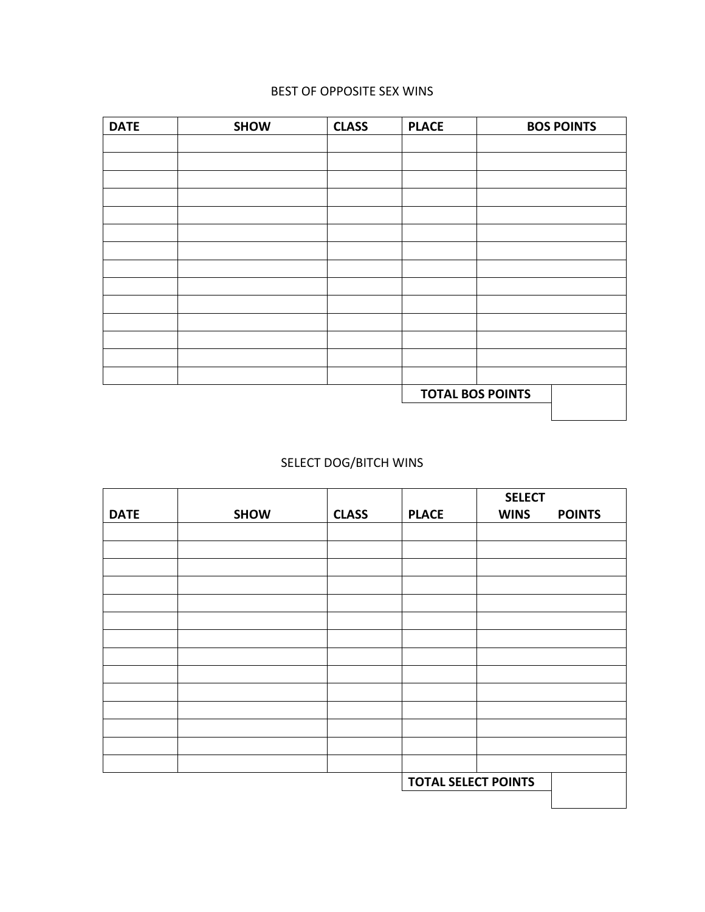### BEST OF OPPOSITE SEX WINS

| <b>DATE</b> | <b>SHOW</b>             | <b>CLASS</b> | <b>PLACE</b> | <b>BOS POINTS</b> |
|-------------|-------------------------|--------------|--------------|-------------------|
|             |                         |              |              |                   |
|             |                         |              |              |                   |
|             |                         |              |              |                   |
|             |                         |              |              |                   |
|             |                         |              |              |                   |
|             |                         |              |              |                   |
|             |                         |              |              |                   |
|             |                         |              |              |                   |
|             |                         |              |              |                   |
|             |                         |              |              |                   |
|             |                         |              |              |                   |
|             |                         |              |              |                   |
|             |                         |              |              |                   |
|             |                         |              |              |                   |
|             | <b>TOTAL BOS POINTS</b> |              |              |                   |
|             |                         |              |              |                   |

## SELECT DOG/BITCH WINS

|             |             |              |                            | <b>SELECT</b> |               |
|-------------|-------------|--------------|----------------------------|---------------|---------------|
| <b>DATE</b> | <b>SHOW</b> | <b>CLASS</b> | <b>PLACE</b>               | <b>WINS</b>   | <b>POINTS</b> |
|             |             |              |                            |               |               |
|             |             |              |                            |               |               |
|             |             |              |                            |               |               |
|             |             |              |                            |               |               |
|             |             |              |                            |               |               |
|             |             |              |                            |               |               |
|             |             |              |                            |               |               |
|             |             |              |                            |               |               |
|             |             |              |                            |               |               |
|             |             |              |                            |               |               |
|             |             |              |                            |               |               |
|             |             |              |                            |               |               |
|             |             |              |                            |               |               |
|             |             |              |                            |               |               |
|             |             |              | <b>TOTAL SELECT POINTS</b> |               |               |
|             |             |              |                            |               |               |